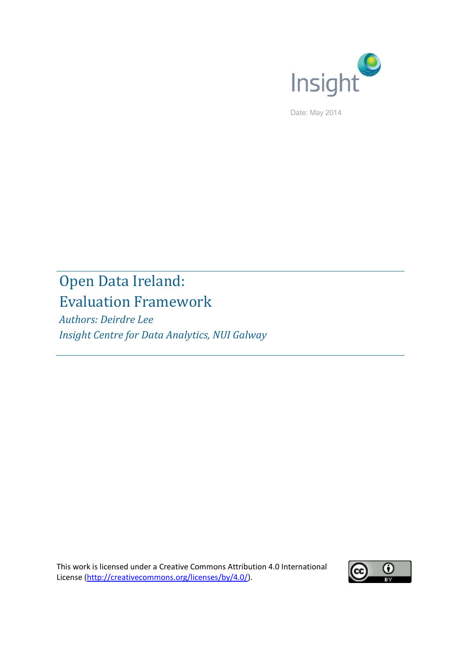

Date: May 2014

# Open Data Ireland: Evaluation Framework

*Authors: Deirdre Lee Insight Centre for Data Analytics, NUI Galway*

This work is licensed under a Creative Commons Attribution 4.0 International License [\(http://creativecommons.org/licenses/by/4.0/\)](http://creativecommons.org/licenses/by/4.0/).

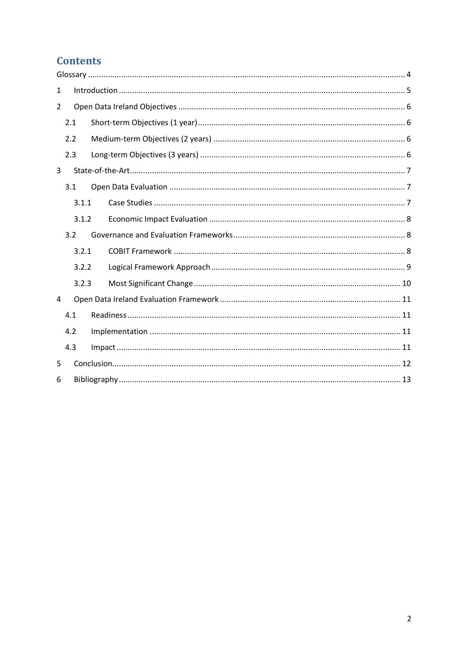# **Contents**

| $\mathbf{1}$   |       |  |  |  |  |  |  |  |
|----------------|-------|--|--|--|--|--|--|--|
| $\overline{2}$ |       |  |  |  |  |  |  |  |
|                | 2.1   |  |  |  |  |  |  |  |
| 2.2            |       |  |  |  |  |  |  |  |
|                | 2.3   |  |  |  |  |  |  |  |
| 3              |       |  |  |  |  |  |  |  |
|                | 3.1   |  |  |  |  |  |  |  |
|                | 3.1.1 |  |  |  |  |  |  |  |
|                | 3.1.2 |  |  |  |  |  |  |  |
|                | 3.2   |  |  |  |  |  |  |  |
|                | 3.2.1 |  |  |  |  |  |  |  |
|                | 3.2.2 |  |  |  |  |  |  |  |
|                | 3.2.3 |  |  |  |  |  |  |  |
| 4              |       |  |  |  |  |  |  |  |
|                | 4.1   |  |  |  |  |  |  |  |
|                | 4.2   |  |  |  |  |  |  |  |
|                | 4.3   |  |  |  |  |  |  |  |
| 5              |       |  |  |  |  |  |  |  |
| 6              |       |  |  |  |  |  |  |  |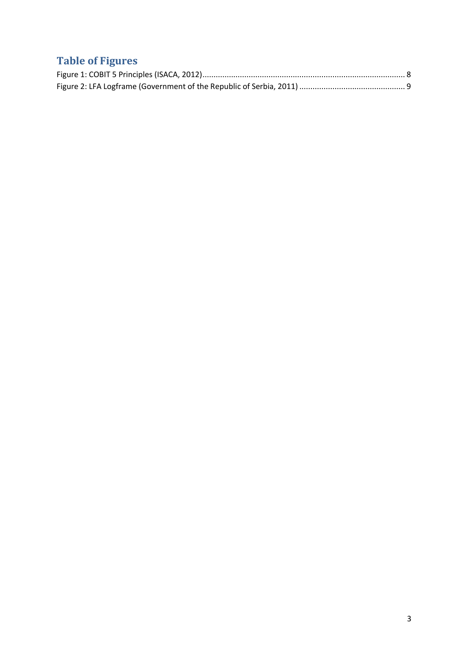# **Table of Figures**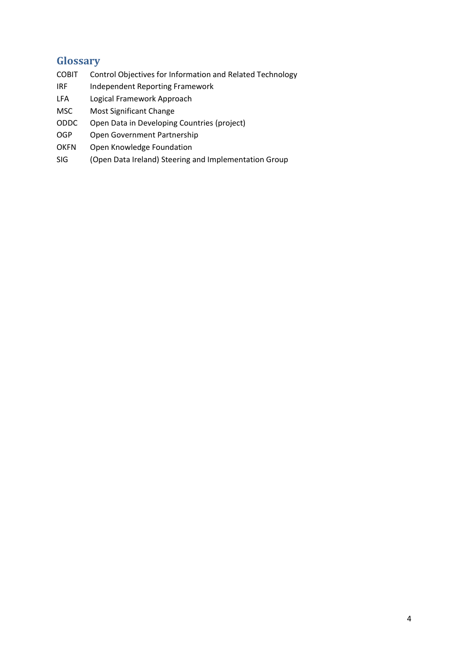# <span id="page-3-0"></span>**Glossary**

- COBIT Control Objectives for Information and Related Technology
- IRF Independent Reporting Framework
- LFA Logical Framework Approach
- MSC Most Significant Change
- ODDC Open Data in Developing Countries (project)
- OGP Open Government Partnership
- OKFN Open Knowledge Foundation
- SIG (Open Data Ireland) Steering and Implementation Group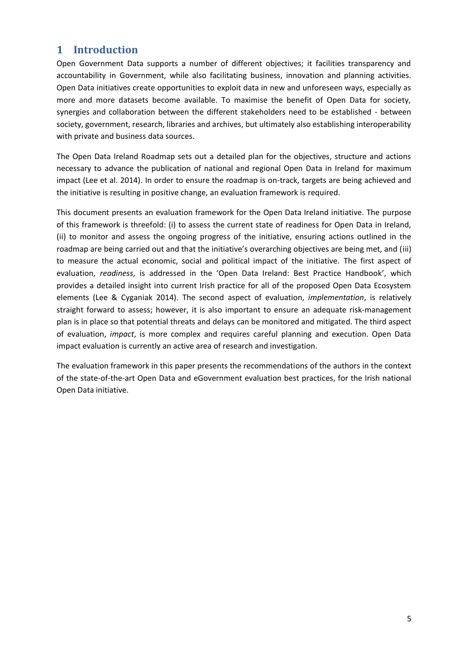# <span id="page-4-0"></span>**1 Introduction**

Open Government Data supports a number of different objectives; it facilities transparency and accountability in Government, while also facilitating business, innovation and planning activities. Open Data initiatives create opportunities to exploit data in new and unforeseen ways, especially as more and more datasets become available. To maximise the benefit of Open Data for society, synergies and collaboration between the different stakeholders need to be established - between society, government, research, libraries and archives, but ultimately also establishing interoperability with private and business data sources.

The Open Data Ireland Roadmap sets out a detailed plan for the objectives, structure and actions necessary to advance the publication of national and regional Open Data in Ireland for maximum impact (Lee et al. 2014). In order to ensure the roadmap is on-track, targets are being achieved and the initiative is resulting in positive change, an evaluation framework is required.

This document presents an evaluation framework for the Open Data Ireland initiative. The purpose of this framework is threefold: (i) to assess the current state of readiness for Open Data in Ireland, (ii) to monitor and assess the ongoing progress of the initiative, ensuring actions outlined in the roadmap are being carried out and that the initiative's overarching objectives are being met, and (iii) to measure the actual economic, social and political impact of the initiative. The first aspect of evaluation, *readiness*, is addressed in the 'Open Data Ireland: Best Practice Handbook', which provides a detailed insight into current Irish practice for all of the proposed Open Data Ecosystem elements (Lee & Cyganiak 2014). The second aspect of evaluation, *implementation*, is relatively straight forward to assess; however, it is also important to ensure an adequate risk-management plan is in place so that potential threats and delays can be monitored and mitigated. The third aspect of evaluation, *impact*, is more complex and requires careful planning and execution. Open Data impact evaluation is currently an active area of research and investigation.

The evaluation framework in this paper presents the recommendations of the authors in the context of the state-of-the-art Open Data and eGovernment evaluation best practices, for the Irish national Open Data initiative.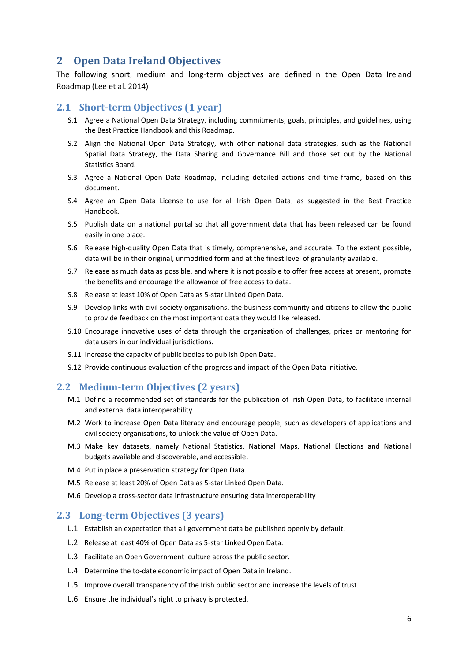# <span id="page-5-0"></span>**2 Open Data Ireland Objectives**

The following short, medium and long-term objectives are defined n the Open Data Ireland Roadmap (Lee et al. 2014)

#### <span id="page-5-1"></span>**2.1 Short-term Objectives (1 year)**

- S.1 Agree a National Open Data Strategy, including commitments, goals, principles, and guidelines, using the Best Practice Handbook and this Roadmap.
- S.2 Align the National Open Data Strategy, with other national data strategies, such as the National Spatial Data Strategy, the Data Sharing and Governance Bill and those set out by the National Statistics Board.
- S.3 Agree a National Open Data Roadmap, including detailed actions and time-frame, based on this document.
- S.4 Agree an Open Data License to use for all Irish Open Data, as suggested in the Best Practice Handbook.
- S.5 Publish data on a national portal so that all government data that has been released can be found easily in one place.
- S.6 Release high-quality Open Data that is timely, comprehensive, and accurate. To the extent possible, data will be in their original, unmodified form and at the finest level of granularity available.
- S.7 Release as much data as possible, and where it is not possible to offer free access at present, promote the benefits and encourage the allowance of free access to data.
- S.8 Release at least 10% of Open Data as 5-star Linked Open Data.
- S.9 Develop links with civil society organisations, the business community and citizens to allow the public to provide feedback on the most important data they would like released.
- S.10 Encourage innovative uses of data through the organisation of challenges, prizes or mentoring for data users in our individual jurisdictions.
- S.11 Increase the capacity of public bodies to publish Open Data.
- S.12 Provide continuous evaluation of the progress and impact of the Open Data initiative.

#### <span id="page-5-2"></span>**2.2 Medium-term Objectives (2 years)**

- M.1 Define a recommended set of standards for the publication of Irish Open Data, to facilitate internal and external data interoperability
- M.2 Work to increase Open Data literacy and encourage people, such as developers of applications and civil society organisations, to unlock the value of Open Data.
- M.3 Make key datasets, namely National Statistics, National Maps, National Elections and National budgets available and discoverable, and accessible.
- M.4 Put in place a preservation strategy for Open Data.
- M.5 Release at least 20% of Open Data as 5-star Linked Open Data.
- M.6 Develop a cross-sector data infrastructure ensuring data interoperability

#### <span id="page-5-3"></span>**2.3 Long-term Objectives (3 years)**

- L.1 Establish an expectation that all government data be published openly by default.
- L.2 Release at least 40% of Open Data as 5-star Linked Open Data.
- L.3 Facilitate an Open Government culture across the public sector.
- L.4 Determine the to-date economic impact of Open Data in Ireland.
- L.5 Improve overall transparency of the Irish public sector and increase the levels of trust.
- L.6 Ensure the individual's right to privacy is protected.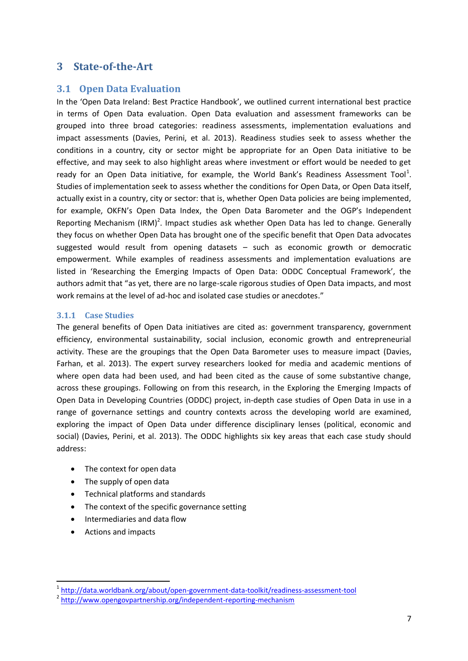### <span id="page-6-0"></span>**3 State-of-the-Art**

### <span id="page-6-1"></span>**3.1 Open Data Evaluation**

In the 'Open Data Ireland: Best Practice Handbook', we outlined current international best practice in terms of Open Data evaluation. Open Data evaluation and assessment frameworks can be grouped into three broad categories: readiness assessments, implementation evaluations and impact assessments (Davies, Perini, et al. 2013). Readiness studies seek to assess whether the conditions in a country, city or sector might be appropriate for an Open Data initiative to be effective, and may seek to also highlight areas where investment or effort would be needed to get ready for an Open Data initiative, for example, the World Bank's Readiness Assessment Tool<sup>1</sup>. Studies of implementation seek to assess whether the conditions for Open Data, or Open Data itself, actually exist in a country, city or sector: that is, whether Open Data policies are being implemented, for example, OKFN's Open Data Index, the Open Data Barometer and the OGP's Independent Reporting Mechanism (IRM)<sup>2</sup>. Impact studies ask whether Open Data has led to change. Generally they focus on whether Open Data has brought one of the specific benefit that Open Data advocates suggested would result from opening datasets – such as economic growth or democratic empowerment. While examples of readiness assessments and implementation evaluations are listed in 'Researching the Emerging Impacts of Open Data: ODDC Conceptual Framework', the authors admit that "as yet, there are no large-scale rigorous studies of Open Data impacts, and most work remains at the level of ad-hoc and isolated case studies or anecdotes."

#### <span id="page-6-2"></span>**3.1.1 Case Studies**

The general benefits of Open Data initiatives are cited as: government transparency, government efficiency, environmental sustainability, social inclusion, economic growth and entrepreneurial activity. These are the groupings that the Open Data Barometer uses to measure impact (Davies, Farhan, et al. 2013). The expert survey researchers looked for media and academic mentions of where open data had been used, and had been cited as the cause of some substantive change, across these groupings. Following on from this research, in the Exploring the Emerging Impacts of Open Data in Developing Countries (ODDC) project, in-depth case studies of Open Data in use in a range of governance settings and country contexts across the developing world are examined, exploring the impact of Open Data under difference disciplinary lenses (political, economic and social) (Davies, Perini, et al. 2013). The ODDC highlights six key areas that each case study should address:

- The context for open data
- The supply of open data
- Technical platforms and standards
- The context of the specific governance setting
- Intermediaries and data flow
- Actions and impacts

1

<sup>&</sup>lt;sup>1</sup> <http://data.worldbank.org/about/open-government-data-toolkit/readiness-assessment-tool>

<sup>&</sup>lt;sup>2</sup> <http://www.opengovpartnership.org/independent-reporting-mechanism>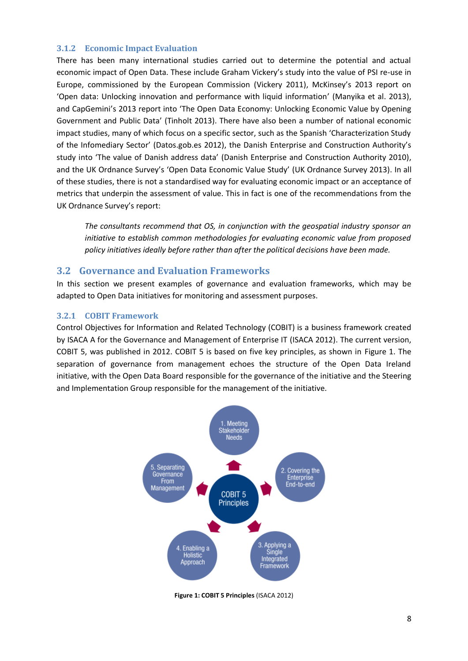#### <span id="page-7-0"></span>**3.1.2 Economic Impact Evaluation**

There has been many international studies carried out to determine the potential and actual economic impact of Open Data. These include Graham Vickery's study into the value of PSI re-use in Europe, commissioned by the European Commission (Vickery 2011), McKinsey's 2013 report on 'Open data: Unlocking innovation and performance with liquid information' (Manyika et al. 2013), and CapGemini's 2013 report into 'The Open Data Economy: Unlocking Economic Value by Opening Government and Public Data' (Tinholt 2013). There have also been a number of national economic impact studies, many of which focus on a specific sector, such as the Spanish 'Characterization Study of the Infomediary Sector' (Datos.gob.es 2012), the Danish Enterprise and Construction Authority's study into 'The value of Danish address data' (Danish Enterprise and Construction Authority 2010), and the UK Ordnance Survey's 'Open Data Economic Value Study' (UK Ordnance Survey 2013). In all of these studies, there is not a standardised way for evaluating economic impact or an acceptance of metrics that underpin the assessment of value. This in fact is one of the recommendations from the UK Ordnance Survey's report:

*The consultants recommend that OS, in conjunction with the geospatial industry sponsor an initiative to establish common methodologies for evaluating economic value from proposed policy initiatives ideally before rather than after the political decisions have been made.* 

#### <span id="page-7-1"></span>**3.2 Governance and Evaluation Frameworks**

In this section we present examples of governance and evaluation frameworks, which may be adapted to Open Data initiatives for monitoring and assessment purposes.

#### <span id="page-7-2"></span>**3.2.1 COBIT Framework**

Control Objectives for Information and Related Technology (COBIT) is a business framework created by ISACA A for the Governance and Management of Enterprise IT (ISACA 2012). The current version, COBIT 5, was published in 2012. COBIT 5 is based on five key principles, as shown in [Figure 1.](#page-7-3) The separation of governance from management echoes the structure of the Open Data Ireland initiative, with the Open Data Board responsible for the governance of the initiative and the Steering and Implementation Group responsible for the management of the initiative.



<span id="page-7-3"></span>**Figure 1: COBIT 5 Principles** (ISACA 2012)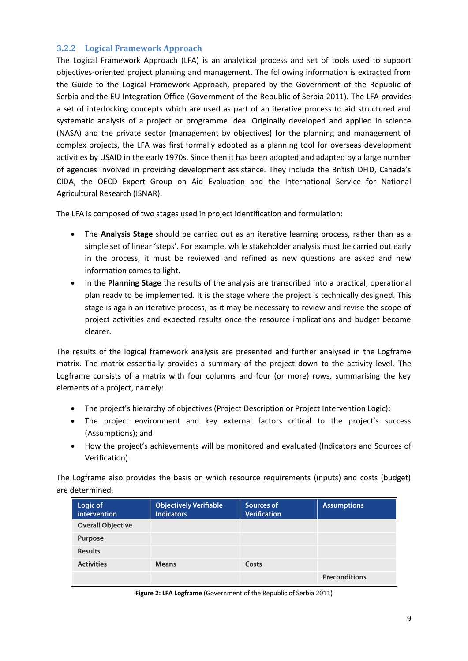#### <span id="page-8-0"></span>**3.2.2 Logical Framework Approach**

The Logical Framework Approach (LFA) is an analytical process and set of tools used to support objectives-oriented project planning and management. The following information is extracted from the Guide to the Logical Framework Approach, prepared by the Government of the Republic of Serbia and the EU Integration Office (Government of the Republic of Serbia 2011). The LFA provides a set of interlocking concepts which are used as part of an iterative process to aid structured and systematic analysis of a project or programme idea. Originally developed and applied in science (NASA) and the private sector (management by objectives) for the planning and management of complex projects, the LFA was first formally adopted as a planning tool for overseas development activities by USAID in the early 1970s. Since then it has been adopted and adapted by a large number of agencies involved in providing development assistance. They include the British DFID, Canada's CIDA, the OECD Expert Group on Aid Evaluation and the International Service for National Agricultural Research (ISNAR).

The LFA is composed of two stages used in project identification and formulation:

- The **Analysis Stage** should be carried out as an iterative learning process, rather than as a simple set of linear 'steps'. For example, while stakeholder analysis must be carried out early in the process, it must be reviewed and refined as new questions are asked and new information comes to light.
- In the **Planning Stage** the results of the analysis are transcribed into a practical, operational plan ready to be implemented. It is the stage where the project is technically designed. This stage is again an iterative process, as it may be necessary to review and revise the scope of project activities and expected results once the resource implications and budget become clearer.

The results of the logical framework analysis are presented and further analysed in the Logframe matrix. The matrix essentially provides a summary of the project down to the activity level. The Logframe consists of a matrix with four columns and four (or more) rows, summarising the key elements of a project, namely:

- The project's hierarchy of objectives (Project Description or Project Intervention Logic);
- The project environment and key external factors critical to the project's success (Assumptions); and
- How the project's achievements will be monitored and evaluated (Indicators and Sources of Verification).

The Logframe also provides the basis on which resource requirements (inputs) and costs (budget) are determined.

| Logic of<br>intervention | <b>Objectively Verifiable</b><br><b>Indicators</b> | Sources of<br><b>Verification</b> | <b>Assumptions</b>   |
|--------------------------|----------------------------------------------------|-----------------------------------|----------------------|
| <b>Overall Objective</b> |                                                    |                                   |                      |
| Purpose                  |                                                    |                                   |                      |
| <b>Results</b>           |                                                    |                                   |                      |
| <b>Activities</b>        | <b>Means</b>                                       | Costs                             |                      |
|                          |                                                    |                                   | <b>Preconditions</b> |

<span id="page-8-1"></span>**Figure 2: LFA Logframe** (Government of the Republic of Serbia 2011)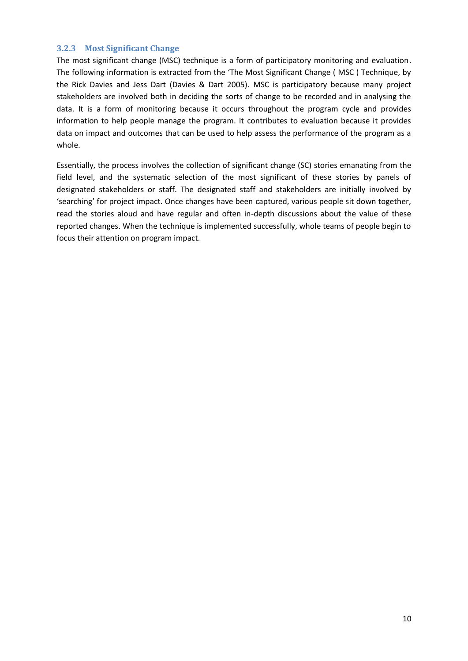#### <span id="page-9-0"></span>**3.2.3 Most Significant Change**

The most significant change (MSC) technique is a form of participatory monitoring and evaluation. The following information is extracted from the 'The Most Significant Change ( MSC ) Technique, by the Rick Davies and Jess Dart (Davies & Dart 2005). MSC is participatory because many project stakeholders are involved both in deciding the sorts of change to be recorded and in analysing the data. It is a form of monitoring because it occurs throughout the program cycle and provides information to help people manage the program. It contributes to evaluation because it provides data on impact and outcomes that can be used to help assess the performance of the program as a whole.

Essentially, the process involves the collection of significant change (SC) stories emanating from the field level, and the systematic selection of the most significant of these stories by panels of designated stakeholders or staff. The designated staff and stakeholders are initially involved by 'searching' for project impact. Once changes have been captured, various people sit down together, read the stories aloud and have regular and often in-depth discussions about the value of these reported changes. When the technique is implemented successfully, whole teams of people begin to focus their attention on program impact.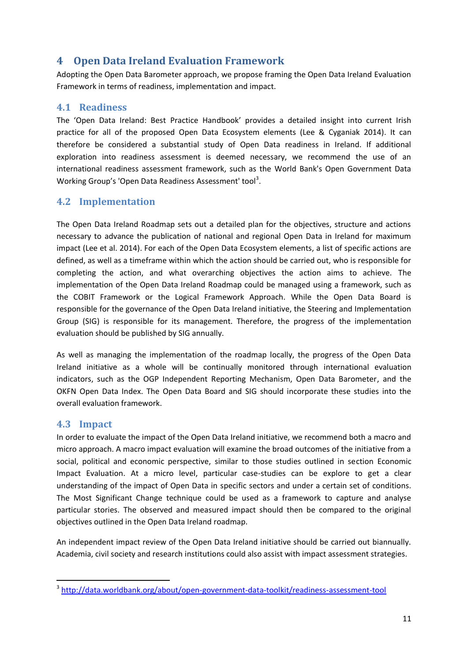# <span id="page-10-0"></span>**4 Open Data Ireland Evaluation Framework**

Adopting the Open Data Barometer approach, we propose framing the Open Data Ireland Evaluation Framework in terms of readiness, implementation and impact.

### <span id="page-10-1"></span>**4.1 Readiness**

The 'Open Data Ireland: Best Practice Handbook' provides a detailed insight into current Irish practice for all of the proposed Open Data Ecosystem elements (Lee & Cyganiak 2014). It can therefore be considered a substantial study of Open Data readiness in Ireland. If additional exploration into readiness assessment is deemed necessary, we recommend the use of an international readiness assessment framework, such as the World Bank's Open Government Data Working Group's 'Open Data Readiness Assessment' tool<sup>3</sup>.

# <span id="page-10-2"></span>**4.2 Implementation**

The Open Data Ireland Roadmap sets out a detailed plan for the objectives, structure and actions necessary to advance the publication of national and regional Open Data in Ireland for maximum impact (Lee et al. 2014). For each of the Open Data Ecosystem elements, a list of specific actions are defined, as well as a timeframe within which the action should be carried out, who is responsible for completing the action, and what overarching objectives the action aims to achieve. The implementation of the Open Data Ireland Roadmap could be managed using a framework, such as the COBIT Framework or the Logical Framework Approach. While the Open Data Board is responsible for the governance of the Open Data Ireland initiative, the Steering and Implementation Group (SIG) is responsible for its management. Therefore, the progress of the implementation evaluation should be published by SIG annually.

As well as managing the implementation of the roadmap locally, the progress of the Open Data Ireland initiative as a whole will be continually monitored through international evaluation indicators, such as the OGP Independent Reporting Mechanism, Open Data Barometer, and the OKFN Open Data Index. The Open Data Board and SIG should incorporate these studies into the overall evaluation framework.

#### <span id="page-10-3"></span>**4.3 Impact**

1

In order to evaluate the impact of the Open Data Ireland initiative, we recommend both a macro and micro approach. A macro impact evaluation will examine the broad outcomes of the initiative from a social, political and economic perspective, similar to those studies outlined in section [Economic](#page-7-0)  [Impact Evaluation.](#page-7-0) At a micro level, particular case-studies can be explore to get a clear understanding of the impact of Open Data in specific sectors and under a certain set of conditions. The Most Significant Change technique could be used as a framework to capture and analyse particular stories. The observed and measured impact should then be compared to the original objectives outlined in the Open Data Ireland roadmap.

An independent impact review of the Open Data Ireland initiative should be carried out biannually. Academia, civil society and research institutions could also assist with impact assessment strategies.

<sup>&</sup>lt;sup>3</sup> <http://data.worldbank.org/about/open-government-data-toolkit/readiness-assessment-tool>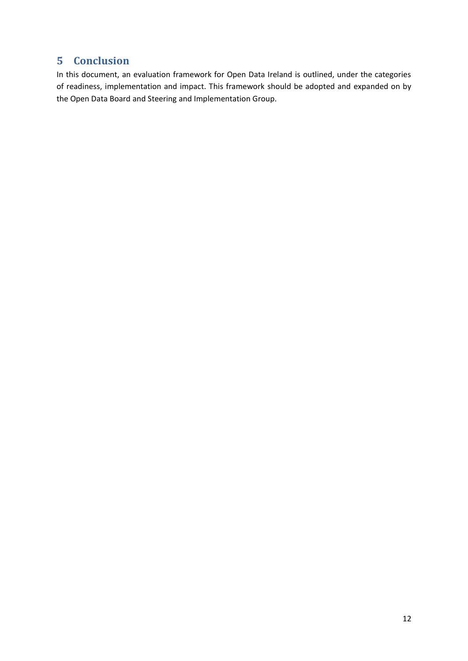# <span id="page-11-0"></span>**5 Conclusion**

In this document, an evaluation framework for Open Data Ireland is outlined, under the categories of readiness, implementation and impact. This framework should be adopted and expanded on by the Open Data Board and Steering and Implementation Group.